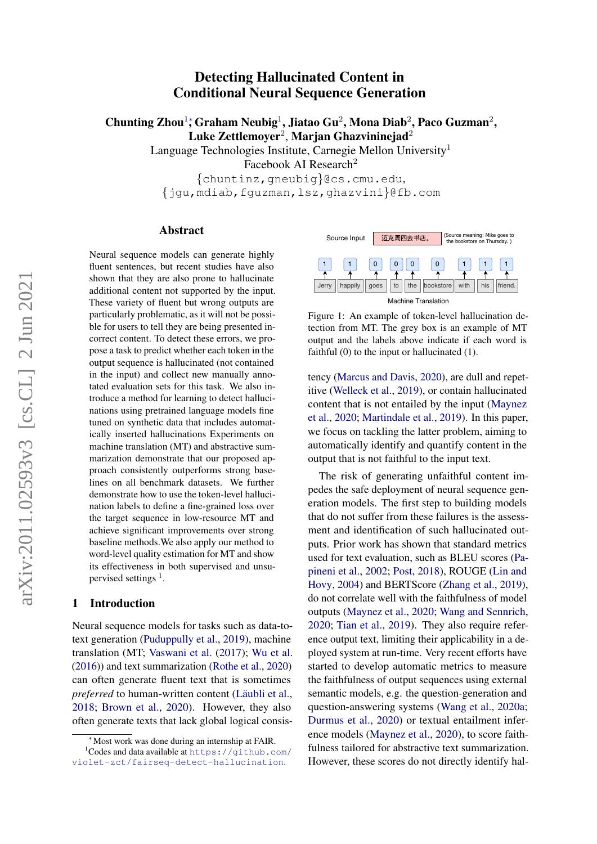# Detecting Hallucinated Content in Conditional Neural Sequence Generation

Chunting Zhou<sup>1</sup>; Graham Neubig<sup>1</sup>, Jiatao Gu<sup>2</sup>, Mona Diab<sup>2</sup>, Paco Guzman<sup>2</sup>, Luke Zettlemoyer $^2$ , Marjan Ghazvininejad $^2$ 

Language Technologies Institute, Carnegie Mellon University<sup>1</sup>

Facebook AI Research<sup>2</sup>

{chuntinz,gneubig}@cs.cmu.edu, {jgu,mdiab,fguzman,lsz,ghazvini}@fb.com

### Abstract

Neural sequence models can generate highly fluent sentences, but recent studies have also shown that they are also prone to hallucinate additional content not supported by the input. These variety of fluent but wrong outputs are particularly problematic, as it will not be possible for users to tell they are being presented incorrect content. To detect these errors, we propose a task to predict whether each token in the output sequence is hallucinated (not contained in the input) and collect new manually annotated evaluation sets for this task. We also introduce a method for learning to detect hallucinations using pretrained language models fine tuned on synthetic data that includes automatically inserted hallucinations Experiments on machine translation (MT) and abstractive summarization demonstrate that our proposed approach consistently outperforms strong baselines on all benchmark datasets. We further demonstrate how to use the token-level hallucination labels to define a fine-grained loss over the target sequence in low-resource MT and achieve significant improvements over strong baseline methods.We also apply our method to word-level quality estimation for MT and show its effectiveness in both supervised and unsu-pervised settings<sup>[1](#page-0-0)</sup>.

#### <span id="page-0-2"></span>1 Introduction

Neural sequence models for tasks such as data-totext generation [\(Puduppully et al.,](#page-10-0) [2019\)](#page-10-0), machine translation (MT; [Vaswani et al.](#page-10-1) [\(2017\)](#page-10-1); [Wu et al.](#page-11-0) [\(2016\)](#page-11-0)) and text summarization [\(Rothe et al.,](#page-10-2) [2020\)](#page-10-2) can often generate fluent text that is sometimes *preferred* to human-written content (Läubli et al., [2018;](#page-9-0) [Brown et al.,](#page-8-0) [2020\)](#page-8-0). However, they also often generate texts that lack global logical consis-

<span id="page-0-1"></span>

Figure 1: An example of token-level hallucination detection from MT. The grey box is an example of MT output and the labels above indicate if each word is faithful (0) to the input or hallucinated (1).

tency [\(Marcus and Davis,](#page-10-3) [2020\)](#page-10-3), are dull and repetitive [\(Welleck et al.,](#page-11-1) [2019\)](#page-11-1), or contain hallucinated content that is not entailed by the input [\(Maynez](#page-10-4) [et al.,](#page-10-4) [2020;](#page-10-4) [Martindale et al.,](#page-10-5) [2019\)](#page-10-5). In this paper, we focus on tackling the latter problem, aiming to automatically identify and quantify content in the output that is not faithful to the input text.

The risk of generating unfaithful content impedes the safe deployment of neural sequence generation models. The first step to building models that do not suffer from these failures is the assessment and identification of such hallucinated outputs. Prior work has shown that standard metrics used for text evaluation, such as BLEU scores [\(Pa](#page-10-6)[pineni et al.,](#page-10-6) [2002;](#page-10-6) [Post,](#page-10-7) [2018\)](#page-10-7), ROUGE [\(Lin and](#page-9-1) [Hovy,](#page-9-1) [2004\)](#page-9-1) and BERTScore [\(Zhang et al.,](#page-11-2) [2019\)](#page-11-2), do not correlate well with the faithfulness of model outputs [\(Maynez et al.,](#page-10-4) [2020;](#page-10-4) [Wang and Sennrich,](#page-11-3) [2020;](#page-11-3) [Tian et al.,](#page-10-8) [2019\)](#page-10-8). They also require reference output text, limiting their applicability in a deployed system at run-time. Very recent efforts have started to develop automatic metrics to measure the faithfulness of output sequences using external semantic models, e.g. the question-generation and question-answering systems [\(Wang et al.,](#page-10-9) [2020a;](#page-10-9) [Durmus et al.,](#page-9-2) [2020\)](#page-9-2) or textual entailment inference models [\(Maynez et al.,](#page-10-4) [2020\)](#page-10-4), to score faithfulness tailored for abstractive text summarization. However, these scores do not directly identify hal-

<span id="page-0-0"></span><sup>∗</sup>Most work was done during an internship at FAIR.

<sup>1</sup>Codes and data available at [https://github.com/](https://github.com/violet-zct/fairseq-detect-hallucination) [violet-zct/fairseq-detect-hallucination](https://github.com/violet-zct/fairseq-detect-hallucination).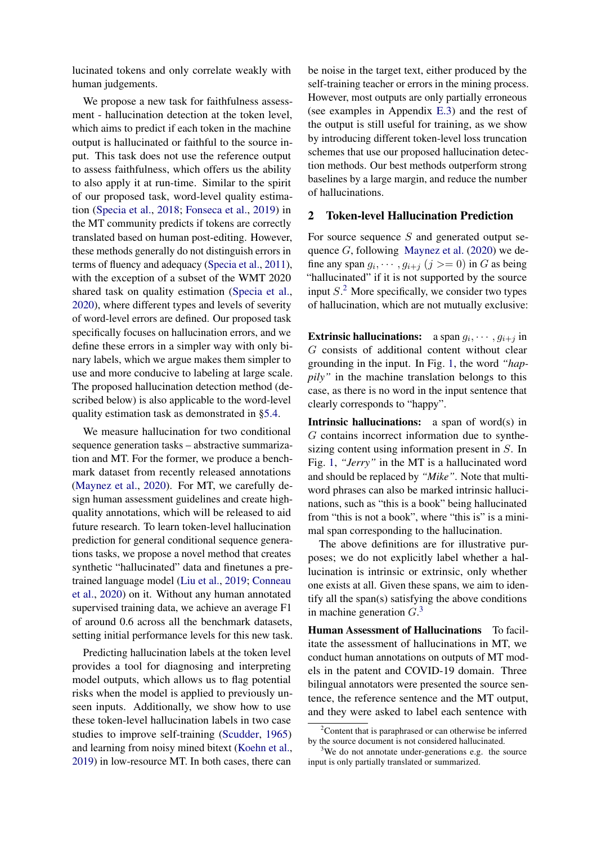lucinated tokens and only correlate weakly with human judgements.

We propose a new task for faithfulness assessment - hallucination detection at the token level, which aims to predict if each token in the machine output is hallucinated or faithful to the source input. This task does not use the reference output to assess faithfulness, which offers us the ability to also apply it at run-time. Similar to the spirit of our proposed task, word-level quality estimation [\(Specia et al.,](#page-10-10) [2018;](#page-10-10) [Fonseca et al.,](#page-9-3) [2019\)](#page-9-3) in the MT community predicts if tokens are correctly translated based on human post-editing. However, these methods generally do not distinguish errors in terms of fluency and adequacy [\(Specia et al.,](#page-10-11) [2011\)](#page-10-11), with the exception of a subset of the WMT 2020 shared task on quality estimation [\(Specia et al.,](#page-10-12) [2020\)](#page-10-12), where different types and levels of severity of word-level errors are defined. Our proposed task specifically focuses on hallucination errors, and we define these errors in a simpler way with only binary labels, which we argue makes them simpler to use and more conducive to labeling at large scale. The proposed hallucination detection method (described below) is also applicable to the word-level quality estimation task as demonstrated in [§5.4.](#page-6-0)

We measure hallucination for two conditional sequence generation tasks – abstractive summarization and MT. For the former, we produce a benchmark dataset from recently released annotations [\(Maynez et al.,](#page-10-4) [2020\)](#page-10-4). For MT, we carefully design human assessment guidelines and create highquality annotations, which will be released to aid future research. To learn token-level hallucination prediction for general conditional sequence generations tasks, we propose a novel method that creates synthetic "hallucinated" data and finetunes a pretrained language model [\(Liu et al.,](#page-9-4) [2019;](#page-9-4) [Conneau](#page-9-5) [et al.,](#page-9-5) [2020\)](#page-9-5) on it. Without any human annotated supervised training data, we achieve an average F1 of around 0.6 across all the benchmark datasets, setting initial performance levels for this new task.

Predicting hallucination labels at the token level provides a tool for diagnosing and interpreting model outputs, which allows us to flag potential risks when the model is applied to previously unseen inputs. Additionally, we show how to use these token-level hallucination labels in two case studies to improve self-training [\(Scudder,](#page-10-13) [1965\)](#page-10-13) and learning from noisy mined bitext [\(Koehn et al.,](#page-9-6) [2019\)](#page-9-6) in low-resource MT. In both cases, there can be noise in the target text, either produced by the self-training teacher or errors in the mining process. However, most outputs are only partially erroneous (see examples in Appendix [E.3\)](#page-15-0) and the rest of the output is still useful for training, as we show by introducing different token-level loss truncation schemes that use our proposed hallucination detection methods. Our best methods outperform strong baselines by a large margin, and reduce the number of hallucinations.

## <span id="page-1-2"></span>2 Token-level Hallucination Prediction

For source sequence  $S$  and generated output sequence  $G$ , following [Maynez et al.](#page-10-4) [\(2020\)](#page-10-4) we define any span  $g_i, \dots, g_{i+j}$   $(j \geq 0)$  in G as being "hallucinated" if it is not supported by the source input  $S<sup>2</sup>$  $S<sup>2</sup>$  $S<sup>2</sup>$  More specifically, we consider two types of hallucination, which are not mutually exclusive:

**Extrinsic hallucinations:** a span  $g_i, \dots, g_{i+j}$  in G consists of additional content without clear grounding in the input. In Fig. [1,](#page-0-1) the word *"happily"* in the machine translation belongs to this case, as there is no word in the input sentence that clearly corresponds to "happy".

Intrinsic hallucinations: a span of word(s) in G contains incorrect information due to synthesizing content using information present in S. In Fig. [1,](#page-0-1) *"Jerry"* in the MT is a hallucinated word and should be replaced by *"Mike"*. Note that multiword phrases can also be marked intrinsic hallucinations, such as "this is a book" being hallucinated from "this is not a book", where "this is" is a minimal span corresponding to the hallucination.

The above definitions are for illustrative purposes; we do not explicitly label whether a hallucination is intrinsic or extrinsic, only whether one exists at all. Given these spans, we aim to identify all the span(s) satisfying the above conditions in machine generation  $G<sup>3</sup>$  $G<sup>3</sup>$  $G<sup>3</sup>$ 

Human Assessment of Hallucinations To facilitate the assessment of hallucinations in MT, we conduct human annotations on outputs of MT models in the patent and COVID-19 domain. Three bilingual annotators were presented the source sentence, the reference sentence and the MT output, and they were asked to label each sentence with

<span id="page-1-0"></span> $2$ Content that is paraphrased or can otherwise be inferred by the source document is not considered hallucinated.

<span id="page-1-1"></span>We do not annotate under-generations e.g. the source input is only partially translated or summarized.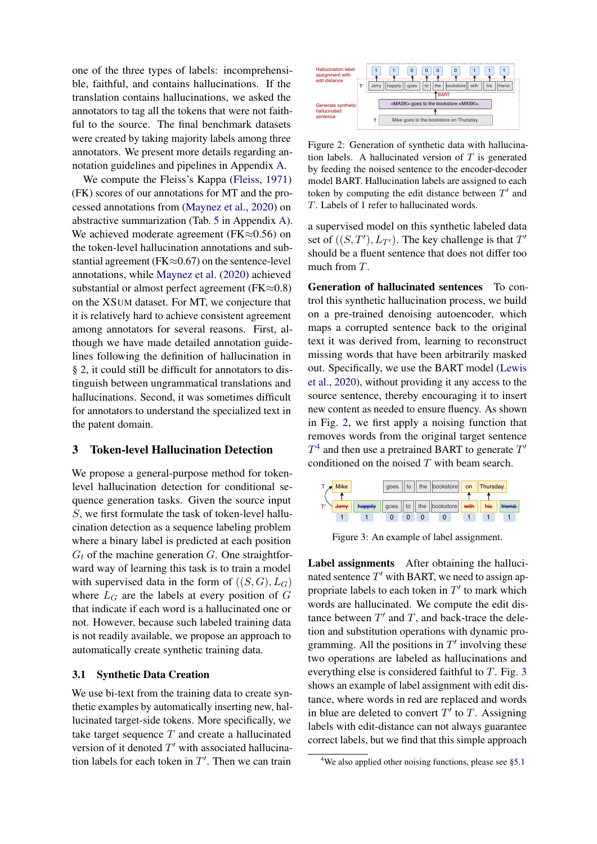one of the three types of labels: incomprehensible, faithful, and contains hallucinations. If the translation contains hallucinations, we asked the annotators to tag all the tokens that were not faithful to the source. The final benchmark datasets were created by taking majority labels among three annotators. We present more details regarding annotation guidelines and pipelines in Appendix [A.](#page-12-0)

We compute the Fleiss's Kappa [\(Fleiss,](#page-9-7) [1971\)](#page-9-7) (FK) scores of our annotations for MT and the processed annotations from [\(Maynez et al.,](#page-10-4) [2020\)](#page-10-4) on abstractive summarization (Tab. [5](#page-13-0) in Appendix [A\)](#page-12-0). We achieved moderate agreement (FK≈0.56) on the token-level hallucination annotations and substantial agreement ( $FK \approx 0.67$ ) on the sentence-level annotations, while [Maynez et al.](#page-10-4) [\(2020\)](#page-10-4) achieved substantial or almost perfect agreement ( $FK \approx 0.8$ ) on the XSUM dataset. For MT, we conjecture that it is relatively hard to achieve consistent agreement among annotators for several reasons. First, although we have made detailed annotation guidelines following the definition of hallucination in § [2,](#page-1-2) it could still be difficult for annotators to distinguish between ungrammatical translations and hallucinations. Second, it was sometimes difficult for annotators to understand the specialized text in the patent domain.

### 3 Token-level Hallucination Detection

We propose a general-purpose method for tokenlevel hallucination detection for conditional sequence generation tasks. Given the source input S, we first formulate the task of token-level hallucination detection as a sequence labeling problem where a binary label is predicted at each position  $G_t$  of the machine generation  $G$ . One straightforward way of learning this task is to train a model with supervised data in the form of  $((S, G), L_G)$ where  $L_G$  are the labels at every position of G that indicate if each word is a hallucinated one or not. However, because such labeled training data is not readily available, we propose an approach to automatically create synthetic training data.

## <span id="page-2-3"></span>3.1 Synthetic Data Creation

We use bi-text from the training data to create synthetic examples by automatically inserting new, hallucinated target-side tokens. More specifically, we take target sequence  $T$  and create a hallucinated version of it denoted  $T'$  with associated hallucination labels for each token in  $T'$ . Then we can train

<span id="page-2-0"></span>

Figure 2: Generation of synthetic data with hallucination labels. A hallucinated version of  $T$  is generated by feeding the noised sentence to the encoder-decoder model BART. Hallucination labels are assigned to each token by computing the edit distance between  $T'$  and T. Labels of 1 refer to hallucinated words.

a supervised model on this synthetic labeled data set of  $((S, T'), L_{T'})$ . The key challenge is that  $T'$ should be a fluent sentence that does not differ too much from T.

Generation of hallucinated sentences To control this synthetic hallucination process, we build on a pre-trained denoising autoencoder, which maps a corrupted sentence back to the original text it was derived from, learning to reconstruct missing words that have been arbitrarily masked out. Specifically, we use the BART model [\(Lewis](#page-9-8) [et al.,](#page-9-8) [2020\)](#page-9-8), without providing it any access to the source sentence, thereby encouraging it to insert new content as needed to ensure fluency. As shown in Fig. [2,](#page-2-0) we first apply a noising function that removes words from the original target sentence  $T^4$  $T^4$  and then use a pretrained BART to generate  $T'$ conditioned on the noised  $T$  with beam search.

<span id="page-2-2"></span>

Figure 3: An example of label assignment.

Label assignments After obtaining the hallucinated sentence  $T'$  with BART, we need to assign appropriate labels to each token in  $T'$  to mark which words are hallucinated. We compute the edit distance between  $T'$  and  $T$ , and back-trace the deletion and substitution operations with dynamic programming. All the positions in  $T'$  involving these two operations are labeled as hallucinations and everything else is considered faithful to T. Fig. [3](#page-2-2) shows an example of label assignment with edit distance, where words in red are replaced and words in blue are deleted to convert  $T'$  to  $T$ . Assigning labels with edit-distance can not always guarantee correct labels, but we find that this simple approach

<span id="page-2-1"></span><sup>&</sup>lt;sup>4</sup>We also applied other noising functions, please see [§5.1](#page-4-0)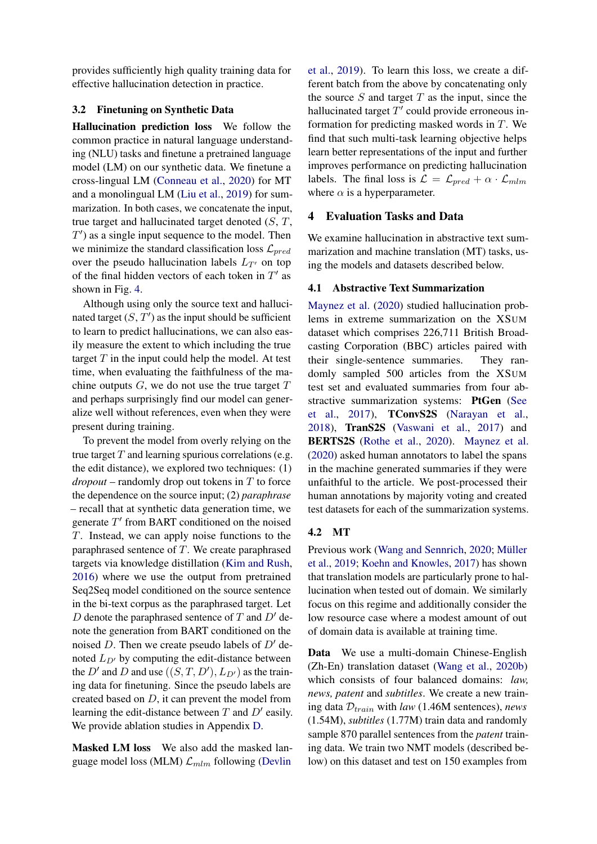provides sufficiently high quality training data for effective hallucination detection in practice.

### <span id="page-3-1"></span>3.2 Finetuning on Synthetic Data

Hallucination prediction loss We follow the common practice in natural language understanding (NLU) tasks and finetune a pretrained language model (LM) on our synthetic data. We finetune a cross-lingual LM [\(Conneau et al.,](#page-9-5) [2020\)](#page-9-5) for MT and a monolingual LM [\(Liu et al.,](#page-9-4) [2019\)](#page-9-4) for summarization. In both cases, we concatenate the input, true target and hallucinated target denoted  $(S, T, T)$  $T'$ ) as a single input sequence to the model. Then we minimize the standard classification loss  $\mathcal{L}_{pred}$ over the pseudo hallucination labels  $L_{T}$  on top of the final hidden vectors of each token in  $T'$  as shown in Fig. [4.](#page-4-1)

Although using only the source text and hallucinated target  $(S, T')$  as the input should be sufficient to learn to predict hallucinations, we can also easily measure the extent to which including the true target  $T$  in the input could help the model. At test time, when evaluating the faithfulness of the machine outputs  $G$ , we do not use the true target  $T$ and perhaps surprisingly find our model can generalize well without references, even when they were present during training.

To prevent the model from overly relying on the true target  $T$  and learning spurious correlations (e.g. the edit distance), we explored two techniques: (1)  $$ the dependence on the source input; (2) *paraphrase* – recall that at synthetic data generation time, we generate  $T'$  from BART conditioned on the noised T. Instead, we can apply noise functions to the paraphrased sentence of  $T$ . We create paraphrased targets via knowledge distillation [\(Kim and Rush,](#page-9-9) [2016\)](#page-9-9) where we use the output from pretrained Seq2Seq model conditioned on the source sentence in the bi-text corpus as the paraphrased target. Let D denote the paraphrased sentence of T and  $D'$  denote the generation from BART conditioned on the noised D. Then we create pseudo labels of  $D'$  denoted  $L_{D}$  by computing the edit-distance between the  $D'$  and  $D$  and use  $((S, T, D'), L_{D'})$  as the training data for finetuning. Since the pseudo labels are created based on D, it can prevent the model from learning the edit-distance between  $T$  and  $D'$  easily. We provide ablation studies in Appendix [D.](#page-14-0)

Masked LM loss We also add the masked language model loss (MLM)  $\mathcal{L}_{mlm}$  following [\(Devlin](#page-9-10)

[et al.,](#page-9-10) [2019\)](#page-9-10). To learn this loss, we create a different batch from the above by concatenating only the source  $S$  and target  $T$  as the input, since the hallucinated target  $T'$  could provide erroneous information for predicting masked words in T. We find that such multi-task learning objective helps learn better representations of the input and further improves performance on predicting hallucination labels. The final loss is  $\mathcal{L} = \mathcal{L}_{pred} + \alpha \cdot \mathcal{L}_{mlm}$ where  $\alpha$  is a hyperparameter.

## 4 Evaluation Tasks and Data

We examine hallucination in abstractive text summarization and machine translation (MT) tasks, using the models and datasets described below.

### 4.1 Abstractive Text Summarization

[Maynez et al.](#page-10-4) [\(2020\)](#page-10-4) studied hallucination problems in extreme summarization on the XSUM dataset which comprises 226,711 British Broadcasting Corporation (BBC) articles paired with their single-sentence summaries. They randomly sampled 500 articles from the XSUM test set and evaluated summaries from four abstractive summarization systems: PtGen [\(See](#page-10-14) [et al.,](#page-10-14) [2017\)](#page-10-14), TConvS2S [\(Narayan et al.,](#page-10-15) [2018\)](#page-10-15), TranS2S [\(Vaswani et al.,](#page-10-1) [2017\)](#page-10-1) and BERTS2S [\(Rothe et al.,](#page-10-2) [2020\)](#page-10-2). [Maynez et al.](#page-10-4) [\(2020\)](#page-10-4) asked human annotators to label the spans in the machine generated summaries if they were unfaithful to the article. We post-processed their human annotations by majority voting and created test datasets for each of the summarization systems.

### <span id="page-3-0"></span>4.2 MT

Previous work [\(Wang and Sennrich,](#page-11-3) [2020;](#page-11-3) Müller [et al.,](#page-10-16) [2019;](#page-10-16) [Koehn and Knowles,](#page-9-11) [2017\)](#page-9-11) has shown that translation models are particularly prone to hallucination when tested out of domain. We similarly focus on this regime and additionally consider the low resource case where a modest amount of out of domain data is available at training time.

Data We use a multi-domain Chinese-English (Zh-En) translation dataset [\(Wang et al.,](#page-11-4) [2020b\)](#page-11-4) which consists of four balanced domains: *law, news, patent* and *subtitles*. We create a new training data  $D_{train}$  with *law* (1.46M sentences), *news* (1.54M), *subtitles* (1.77M) train data and randomly sample 870 parallel sentences from the *patent* training data. We train two NMT models (described below) on this dataset and test on 150 examples from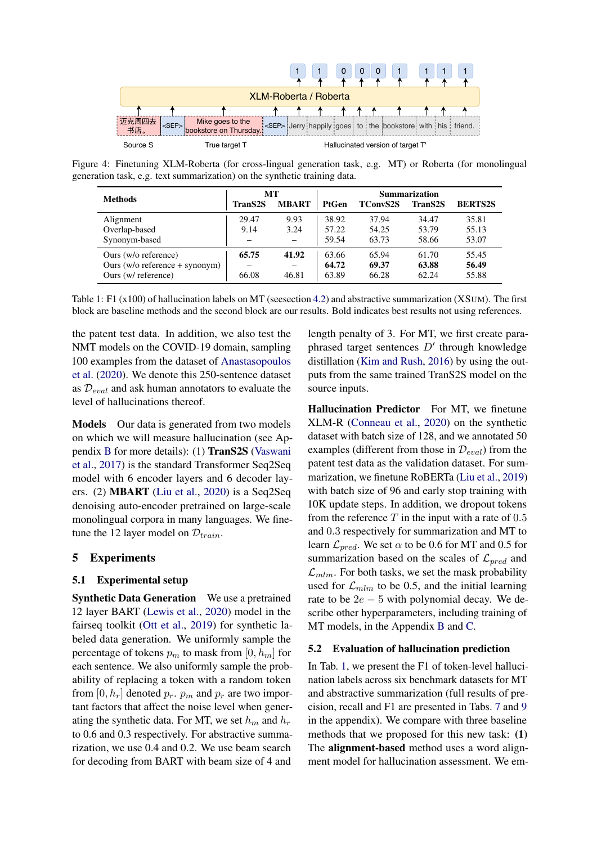<span id="page-4-1"></span>

<span id="page-4-2"></span>Figure 4: Finetuning XLM-Roberta (for cross-lingual generation task, e.g. MT) or Roberta (for monolingual generation task, e.g. text summarization) on the synthetic training data.

| <b>Methods</b>                     | MТ      |                          | <b>Summarization</b> |                 |                |                |
|------------------------------------|---------|--------------------------|----------------------|-----------------|----------------|----------------|
|                                    | TranS2S | <b>MBART</b>             | PtGen                | <b>TConvS2S</b> | <b>TranS2S</b> | <b>BERTS2S</b> |
| Alignment                          | 29.47   | 9.93                     | 38.92                | 37.94           | 34.47          | 35.81          |
| Overlap-based                      | 9.14    | 3.24                     | 57.22                | 54.25           | 53.79          | 55.13          |
| Synonym-based                      | -       | $\equiv$                 | 59.54                | 63.73           | 58.66          | 53.07          |
| Ours (w/o reference)               | 65.75   | 41.92                    | 63.66                | 65.94           | 61.70          | 55.45          |
| Ours $(w/o$ reference $+$ synonym) |         | $\overline{\phantom{m}}$ | 64.72                | 69.37           | 63.88          | 56.49          |
| Ours (w/ reference)                | 66.08   | 46.81                    | 63.89                | 66.28           | 62.24          | 55.88          |

Table 1: F1 (x100) of hallucination labels on MT (seesection [4.2\)](#page-3-0) and abstractive summarization (XSUM). The first block are baseline methods and the second block are our results. Bold indicates best results not using references.

the patent test data. In addition, we also test the NMT models on the COVID-19 domain, sampling 100 examples from the dataset of [Anastasopoulos](#page-8-1) [et al.](#page-8-1) [\(2020\)](#page-8-1). We denote this 250-sentence dataset as  $\mathcal{D}_{eval}$  and ask human annotators to evaluate the level of hallucinations thereof.

Models Our data is generated from two models on which we will measure hallucination (see Appendix [B](#page-12-1) for more details): (1) TranS2S [\(Vaswani](#page-10-1) [et al.,](#page-10-1) [2017\)](#page-10-1) is the standard Transformer Seq2Seq model with 6 encoder layers and 6 decoder layers. (2) MBART [\(Liu et al.,](#page-9-12) [2020\)](#page-9-12) is a Seq2Seq denoising auto-encoder pretrained on large-scale monolingual corpora in many languages. We finetune the 12 layer model on  $\mathcal{D}_{train}$ .

## 5 Experiments

## <span id="page-4-0"></span>5.1 Experimental setup

Synthetic Data Generation We use a pretrained 12 layer BART [\(Lewis et al.,](#page-9-8) [2020\)](#page-9-8) model in the fairseq toolkit [\(Ott et al.,](#page-10-17) [2019\)](#page-10-17) for synthetic labeled data generation. We uniformly sample the percentage of tokens  $p_m$  to mask from [0,  $h_m$ ] for each sentence. We also uniformly sample the probability of replacing a token with a random token from [0,  $h_r$ ] denoted  $p_r$ .  $p_m$  and  $p_r$  are two important factors that affect the noise level when generating the synthetic data. For MT, we set  $h_m$  and  $h_r$ to 0.6 and 0.3 respectively. For abstractive summarization, we use 0.4 and 0.2. We use beam search for decoding from BART with beam size of 4 and length penalty of 3. For MT, we first create paraphrased target sentences  $D'$  through knowledge distillation [\(Kim and Rush,](#page-9-9) [2016\)](#page-9-9) by using the outputs from the same trained TranS2S model on the source inputs.

Hallucination Predictor For MT, we finetune XLM-R [\(Conneau et al.,](#page-9-5) [2020\)](#page-9-5) on the synthetic dataset with batch size of 128, and we annotated 50 examples (different from those in  $\mathcal{D}_{eval}$ ) from the patent test data as the validation dataset. For summarization, we finetune RoBERTa [\(Liu et al.,](#page-9-4) [2019\)](#page-9-4) with batch size of 96 and early stop training with 10K update steps. In addition, we dropout tokens from the reference  $T$  in the input with a rate of  $0.5$ and 0.3 respectively for summarization and MT to learn  $\mathcal{L}_{pred}$ . We set  $\alpha$  to be 0.6 for MT and 0.5 for summarization based on the scales of  $\mathcal{L}_{pred}$  and  $\mathcal{L}_{mlm}$ . For both tasks, we set the mask probability used for  $\mathcal{L}_{mlm}$  to be 0.5, and the initial learning rate to be  $2e - 5$  with polynomial decay. We describe other hyperparameters, including training of MT models, in the Appendix [B](#page-12-1) and [C.](#page-13-1)

#### 5.2 Evaluation of hallucination prediction

In Tab. [1,](#page-4-2) we present the F1 of token-level hallucination labels across six benchmark datasets for MT and abstractive summarization (full results of precision, recall and F1 are presented in Tabs. [7](#page-14-1) and [9](#page-15-1) in the appendix). We compare with three baseline methods that we proposed for this new task: (1) The alignment-based method uses a word alignment model for hallucination assessment. We em-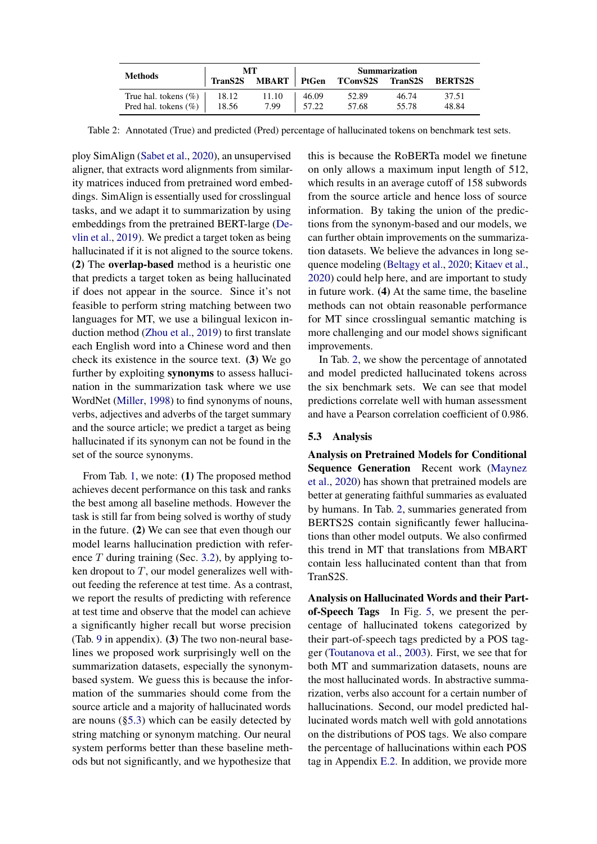<span id="page-5-1"></span>

| <b>Methods</b>           | MТ      |               | <b>Summarization</b> |                  |       |                |
|--------------------------|---------|---------------|----------------------|------------------|-------|----------------|
|                          | TranS2S | MBART   PtGen |                      | TConvS2S TranS2S |       | <b>BERTS2S</b> |
| True hal. tokens $(\%)$  | 18.12   | 11.10         | 46.09                | 52.89            | 46.74 | 37.51          |
| Pred hal. tokens $(\% )$ | 18.56   | 7.99          | 57.22                | 57.68            | 55.78 | 48.84          |

Table 2: Annotated (True) and predicted (Pred) percentage of hallucinated tokens on benchmark test sets.

ploy SimAlign [\(Sabet et al.,](#page-10-18) [2020\)](#page-10-18), an unsupervised aligner, that extracts word alignments from similarity matrices induced from pretrained word embeddings. SimAlign is essentially used for crosslingual tasks, and we adapt it to summarization by using embeddings from the pretrained BERT-large [\(De](#page-9-10)[vlin et al.,](#page-9-10) [2019\)](#page-9-10). We predict a target token as being hallucinated if it is not aligned to the source tokens. (2) The overlap-based method is a heuristic one that predicts a target token as being hallucinated if does not appear in the source. Since it's not feasible to perform string matching between two languages for MT, we use a bilingual lexicon induction method [\(Zhou et al.,](#page-11-5) [2019\)](#page-11-5) to first translate each English word into a Chinese word and then check its existence in the source text. (3) We go further by exploiting synonyms to assess hallucination in the summarization task where we use WordNet [\(Miller,](#page-10-19) [1998\)](#page-10-19) to find synonyms of nouns, verbs, adjectives and adverbs of the target summary and the source article; we predict a target as being hallucinated if its synonym can not be found in the set of the source synonyms.

From Tab. [1,](#page-4-2) we note: (1) The proposed method achieves decent performance on this task and ranks the best among all baseline methods. However the task is still far from being solved is worthy of study in the future. (2) We can see that even though our model learns hallucination prediction with reference  $T$  during training (Sec. [3.2\)](#page-3-1), by applying token dropout to  $T$ , our model generalizes well without feeding the reference at test time. As a contrast, we report the results of predicting with reference at test time and observe that the model can achieve a significantly higher recall but worse precision (Tab. [9](#page-15-1) in appendix). (3) The two non-neural baselines we proposed work surprisingly well on the summarization datasets, especially the synonymbased system. We guess this is because the information of the summaries should come from the source article and a majority of hallucinated words are nouns ([§5.3\)](#page-5-0) which can be easily detected by string matching or synonym matching. Our neural system performs better than these baseline methods but not significantly, and we hypothesize that this is because the RoBERTa model we finetune on only allows a maximum input length of 512, which results in an average cutoff of 158 subwords from the source article and hence loss of source information. By taking the union of the predictions from the synonym-based and our models, we can further obtain improvements on the summarization datasets. We believe the advances in long sequence modeling [\(Beltagy et al.,](#page-8-2) [2020;](#page-8-2) [Kitaev et al.,](#page-9-13) [2020\)](#page-9-13) could help here, and are important to study in future work. (4) At the same time, the baseline methods can not obtain reasonable performance for MT since crosslingual semantic matching is more challenging and our model shows significant improvements.

In Tab. [2,](#page-5-1) we show the percentage of annotated and model predicted hallucinated tokens across the six benchmark sets. We can see that model predictions correlate well with human assessment and have a Pearson correlation coefficient of 0.986.

## <span id="page-5-0"></span>5.3 Analysis

Analysis on Pretrained Models for Conditional Sequence Generation Recent work [\(Maynez](#page-10-4) [et al.,](#page-10-4) [2020\)](#page-10-4) has shown that pretrained models are better at generating faithful summaries as evaluated by humans. In Tab. [2,](#page-5-1) summaries generated from BERTS2S contain significantly fewer hallucinations than other model outputs. We also confirmed this trend in MT that translations from MBART contain less hallucinated content than that from TranS2S.

Analysis on Hallucinated Words and their Partof-Speech Tags In Fig. [5,](#page-6-1) we present the percentage of hallucinated tokens categorized by their part-of-speech tags predicted by a POS tagger [\(Toutanova et al.,](#page-10-20) [2003\)](#page-10-20). First, we see that for both MT and summarization datasets, nouns are the most hallucinated words. In abstractive summarization, verbs also account for a certain number of hallucinations. Second, our model predicted hallucinated words match well with gold annotations on the distributions of POS tags. We also compare the percentage of hallucinations within each POS tag in Appendix [E.2.](#page-15-2) In addition, we provide more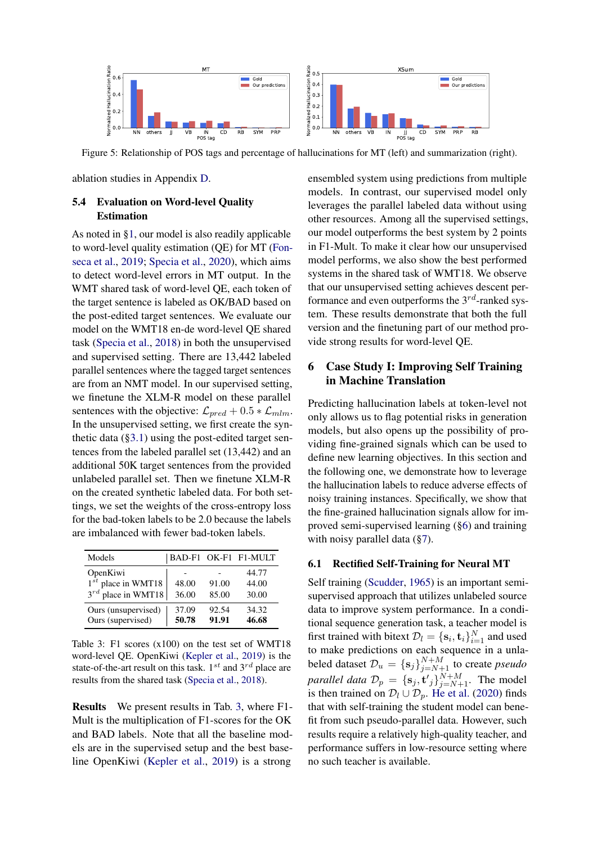<span id="page-6-1"></span>

Figure 5: Relationship of POS tags and percentage of hallucinations for MT (left) and summarization (right).

ablation studies in Appendix [D.](#page-14-0)

## <span id="page-6-0"></span>5.4 Evaluation on Word-level Quality Estimation

As noted in [§1,](#page-0-2) our model is also readily applicable to word-level quality estimation (QE) for MT [\(Fon](#page-9-3)[seca et al.,](#page-9-3) [2019;](#page-9-3) [Specia et al.,](#page-10-12) [2020\)](#page-10-12), which aims to detect word-level errors in MT output. In the WMT shared task of word-level QE, each token of the target sentence is labeled as OK/BAD based on the post-edited target sentences. We evaluate our model on the WMT18 en-de word-level QE shared task [\(Specia et al.,](#page-10-10) [2018\)](#page-10-10) in both the unsupervised and supervised setting. There are 13,442 labeled parallel sentences where the tagged target sentences are from an NMT model. In our supervised setting, we finetune the XLM-R model on these parallel sentences with the objective:  $\mathcal{L}_{pred} + 0.5 * \mathcal{L}_{mlm}$ . In the unsupervised setting, we first create the synthetic data  $(\S 3.1)$  using the post-edited target sentences from the labeled parallel set (13,442) and an additional 50K target sentences from the provided unlabeled parallel set. Then we finetune XLM-R on the created synthetic labeled data. For both settings, we set the weights of the cross-entropy loss for the bad-token labels to be 2.0 because the labels are imbalanced with fewer bad-token labels.

<span id="page-6-2"></span>

| Models                                                         |                |                | BAD-F1 OK-F1 F1-MULT    |
|----------------------------------------------------------------|----------------|----------------|-------------------------|
| OpenKiwi<br>$1^{st}$ place in WMT18<br>$3^{rd}$ place in WMT18 | 48.00<br>36.00 | 91.00<br>85.00 | 44.77<br>44.00<br>30.00 |
| Ours (unsupervised)<br>Ours (supervised)                       | 37.09<br>50.78 | 92.54<br>91.91 | 34.32<br>46.68          |

Table 3: F1 scores (x100) on the test set of WMT18 word-level QE. OpenKiwi [\(Kepler et al.,](#page-9-14) [2019\)](#page-9-14) is the state-of-the-art result on this task.  $1^{st}$  and  $3^{rd}$  place are results from the shared task [\(Specia et al.,](#page-10-10) [2018\)](#page-10-10).

Results We present results in Tab. [3,](#page-6-2) where F1- Mult is the multiplication of F1-scores for the OK and BAD labels. Note that all the baseline models are in the supervised setup and the best baseline OpenKiwi [\(Kepler et al.,](#page-9-14) [2019\)](#page-9-14) is a strong

ensembled system using predictions from multiple models. In contrast, our supervised model only leverages the parallel labeled data without using other resources. Among all the supervised settings, our model outperforms the best system by 2 points in F1-Mult. To make it clear how our unsupervised model performs, we also show the best performed systems in the shared task of WMT18. We observe that our unsupervised setting achieves descent performance and even outperforms the  $3^{rd}$ -ranked system. These results demonstrate that both the full version and the finetuning part of our method provide strong results for word-level QE.

# <span id="page-6-3"></span>6 Case Study I: Improving Self Training in Machine Translation

Predicting hallucination labels at token-level not only allows us to flag potential risks in generation models, but also opens up the possibility of providing fine-grained signals which can be used to define new learning objectives. In this section and the following one, we demonstrate how to leverage the hallucination labels to reduce adverse effects of noisy training instances. Specifically, we show that the fine-grained hallucination signals allow for improved semi-supervised learning ([§6\)](#page-6-3) and training with noisy parallel data ([§7\)](#page-7-0).

### 6.1 Rectified Self-Training for Neural MT

Self training [\(Scudder,](#page-10-13) [1965\)](#page-10-13) is an important semisupervised approach that utilizes unlabeled source data to improve system performance. In a conditional sequence generation task, a teacher model is first trained with bitext  $\mathcal{D}_l = \{\mathbf{s}_i, \mathbf{t}_i\}_{i=1}^N$  and used to make predictions on each sequence in a unlabeled dataset  $\mathcal{D}_u = {\mathbf{s}_j}_{j=N+1}^{N+M}$  to create *pseudo parallel data*  $\mathcal{D}_p = {\mathbf{s}_j, \mathbf{t'}_j}_{j=N+1}^{N+M}$ . The model is then trained on  $\mathcal{D}_l \cup \mathcal{D}_p$ . [He et al.](#page-9-15) [\(2020\)](#page-9-15) finds that with self-training the student model can benefit from such pseudo-parallel data. However, such results require a relatively high-quality teacher, and performance suffers in low-resource setting where no such teacher is available.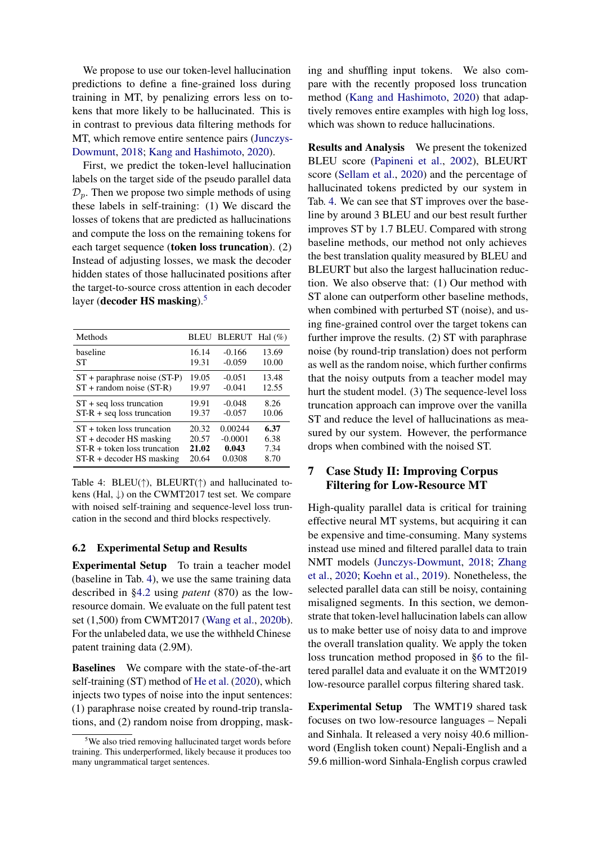We propose to use our token-level hallucination predictions to define a fine-grained loss during training in MT, by penalizing errors less on tokens that more likely to be hallucinated. This is in contrast to previous data filtering methods for MT, which remove entire sentence pairs [\(Junczys-](#page-9-16)[Dowmunt,](#page-9-16) [2018;](#page-9-16) [Kang and Hashimoto,](#page-9-17) [2020\)](#page-9-17).

First, we predict the token-level hallucination labels on the target side of the pseudo parallel data  $\mathcal{D}_p$ . Then we propose two simple methods of using these labels in self-training: (1) We discard the losses of tokens that are predicted as hallucinations and compute the loss on the remaining tokens for each target sequence (token loss truncation). (2) Instead of adjusting losses, we mask the decoder hidden states of those hallucinated positions after the target-to-source cross attention in each decoder layer (decoder HS masking).<sup>[5](#page-7-1)</sup>

<span id="page-7-2"></span>

| Methods                          |       | BLEU BLERUT Hal (%) |       |
|----------------------------------|-------|---------------------|-------|
| baseline                         | 16.14 | $-0.166$            | 13.69 |
| SТ                               | 19.31 | $-0.059$            | 10.00 |
| $ST +$ paraphrase noise $(ST-P)$ | 19.05 | $-0.051$            | 13.48 |
| $ST + random noise (ST-R)$       | 19.97 | $-0.041$            | 12.55 |
| $ST + seq$ loss truncation       | 19.91 | $-0.048$            | 8.26  |
| $ST-R + seq$ loss truncation     | 19.37 | $-0.057$            | 10.06 |
| $ST +$ token loss truncation     | 20.32 | 0.00244             | 6.37  |
| $ST + decoder HS$ masking        | 20.57 | $-0.0001$           | 6.38  |
| $ST-R +$ token loss truncation   | 21.02 | 0.043               | 7.34  |
| $ST-R + decoder HS$ masking      | 20.64 | 0.0308              | 8.70  |

Table 4: BLEU( $\uparrow$ ), BLEURT( $\uparrow$ ) and hallucinated tokens (Hal,  $\downarrow$ ) on the CWMT2017 test set. We compare with noised self-training and sequence-level loss truncation in the second and third blocks respectively.

#### 6.2 Experimental Setup and Results

Experimental Setup To train a teacher model (baseline in Tab. [4\)](#page-7-2), we use the same training data described in [§4.2](#page-3-0) using *patent* (870) as the lowresource domain. We evaluate on the full patent test set (1,500) from CWMT2017 [\(Wang et al.,](#page-11-4) [2020b\)](#page-11-4). For the unlabeled data, we use the withheld Chinese patent training data (2.9M).

Baselines We compare with the state-of-the-art self-training (ST) method of [He et al.](#page-9-15) [\(2020\)](#page-9-15), which injects two types of noise into the input sentences: (1) paraphrase noise created by round-trip translations, and (2) random noise from dropping, mask-

ing and shuffling input tokens. We also compare with the recently proposed loss truncation method [\(Kang and Hashimoto,](#page-9-17) [2020\)](#page-9-17) that adaptively removes entire examples with high log loss, which was shown to reduce hallucinations.

Results and Analysis We present the tokenized BLEU score [\(Papineni et al.,](#page-10-6) [2002\)](#page-10-6), BLEURT score [\(Sellam et al.,](#page-10-21) [2020\)](#page-10-21) and the percentage of hallucinated tokens predicted by our system in Tab. [4.](#page-7-2) We can see that ST improves over the baseline by around 3 BLEU and our best result further improves ST by 1.7 BLEU. Compared with strong baseline methods, our method not only achieves the best translation quality measured by BLEU and BLEURT but also the largest hallucination reduction. We also observe that: (1) Our method with ST alone can outperform other baseline methods, when combined with perturbed ST (noise), and using fine-grained control over the target tokens can further improve the results. (2) ST with paraphrase noise (by round-trip translation) does not perform as well as the random noise, which further confirms that the noisy outputs from a teacher model may hurt the student model. (3) The sequence-level loss truncation approach can improve over the vanilla ST and reduce the level of hallucinations as measured by our system. However, the performance drops when combined with the noised ST.

## <span id="page-7-0"></span>7 Case Study II: Improving Corpus Filtering for Low-Resource MT

High-quality parallel data is critical for training effective neural MT systems, but acquiring it can be expensive and time-consuming. Many systems instead use mined and filtered parallel data to train NMT models [\(Junczys-Dowmunt,](#page-9-16) [2018;](#page-9-16) [Zhang](#page-11-6) [et al.,](#page-11-6) [2020;](#page-11-6) [Koehn et al.,](#page-9-6) [2019\)](#page-9-6). Nonetheless, the selected parallel data can still be noisy, containing misaligned segments. In this section, we demonstrate that token-level hallucination labels can allow us to make better use of noisy data to and improve the overall translation quality. We apply the token loss truncation method proposed in [§6](#page-6-3) to the filtered parallel data and evaluate it on the WMT2019 low-resource parallel corpus filtering shared task.

Experimental Setup The WMT19 shared task focuses on two low-resource languages – Nepali and Sinhala. It released a very noisy 40.6 millionword (English token count) Nepali-English and a 59.6 million-word Sinhala-English corpus crawled

<span id="page-7-1"></span><sup>&</sup>lt;sup>5</sup>We also tried removing hallucinated target words before training. This underperformed, likely because it produces too many ungrammatical target sentences.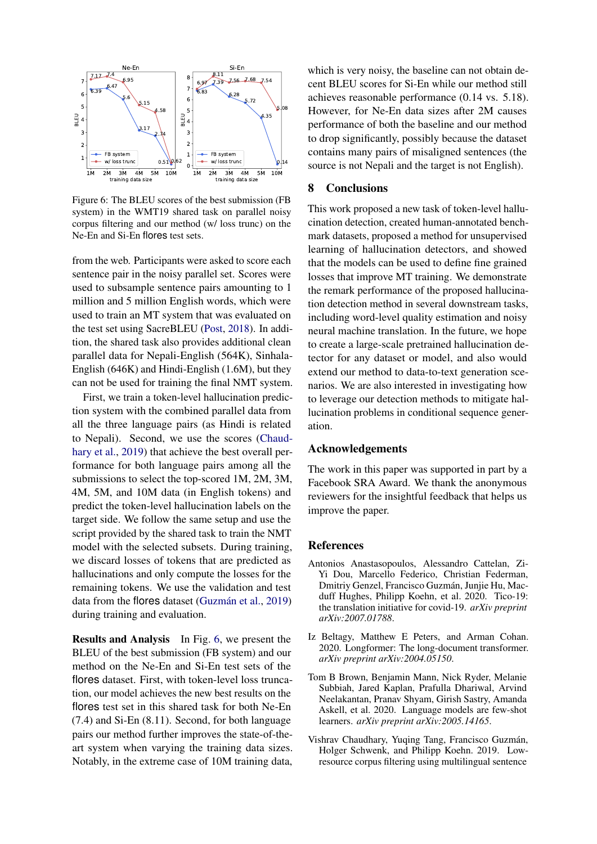<span id="page-8-4"></span>

Figure 6: The BLEU scores of the best submission (FB system) in the WMT19 shared task on parallel noisy corpus filtering and our method (w/ loss trunc) on the Ne-En and Si-En flores test sets.

from the web. Participants were asked to score each sentence pair in the noisy parallel set. Scores were used to subsample sentence pairs amounting to 1 million and 5 million English words, which were used to train an MT system that was evaluated on the test set using SacreBLEU [\(Post,](#page-10-7) [2018\)](#page-10-7). In addition, the shared task also provides additional clean parallel data for Nepali-English (564K), Sinhala-English (646K) and Hindi-English (1.6M), but they can not be used for training the final NMT system.

First, we train a token-level hallucination prediction system with the combined parallel data from all the three language pairs (as Hindi is related to Nepali). Second, we use the scores [\(Chaud](#page-8-3)[hary et al.,](#page-8-3) [2019\)](#page-8-3) that achieve the best overall performance for both language pairs among all the submissions to select the top-scored 1M, 2M, 3M, 4M, 5M, and 10M data (in English tokens) and predict the token-level hallucination labels on the target side. We follow the same setup and use the script provided by the shared task to train the NMT model with the selected subsets. During training, we discard losses of tokens that are predicted as hallucinations and only compute the losses for the remaining tokens. We use the validation and test data from the flores dataset (Guzmán et al.,  $2019$ ) during training and evaluation.

Results and Analysis In Fig. [6,](#page-8-4) we present the BLEU of the best submission (FB system) and our method on the Ne-En and Si-En test sets of the flores dataset. First, with token-level loss truncation, our model achieves the new best results on the flores test set in this shared task for both Ne-En (7.4) and Si-En (8.11). Second, for both language pairs our method further improves the state-of-theart system when varying the training data sizes. Notably, in the extreme case of 10M training data,

which is very noisy, the baseline can not obtain decent BLEU scores for Si-En while our method still achieves reasonable performance (0.14 vs. 5.18). However, for Ne-En data sizes after 2M causes performance of both the baseline and our method to drop significantly, possibly because the dataset contains many pairs of misaligned sentences (the source is not Nepali and the target is not English).

## 8 Conclusions

This work proposed a new task of token-level hallucination detection, created human-annotated benchmark datasets, proposed a method for unsupervised learning of hallucination detectors, and showed that the models can be used to define fine grained losses that improve MT training. We demonstrate the remark performance of the proposed hallucination detection method in several downstream tasks, including word-level quality estimation and noisy neural machine translation. In the future, we hope to create a large-scale pretrained hallucination detector for any dataset or model, and also would extend our method to data-to-text generation scenarios. We are also interested in investigating how to leverage our detection methods to mitigate hallucination problems in conditional sequence generation.

### Acknowledgements

The work in this paper was supported in part by a Facebook SRA Award. We thank the anonymous reviewers for the insightful feedback that helps us improve the paper.

### **References**

- <span id="page-8-1"></span>Antonios Anastasopoulos, Alessandro Cattelan, Zi-Yi Dou, Marcello Federico, Christian Federman, Dmitriy Genzel, Francisco Guzman, Junjie Hu, Mac- ´ duff Hughes, Philipp Koehn, et al. 2020. Tico-19: the translation initiative for covid-19. *arXiv preprint arXiv:2007.01788*.
- <span id="page-8-2"></span>Iz Beltagy, Matthew E Peters, and Arman Cohan. 2020. Longformer: The long-document transformer. *arXiv preprint arXiv:2004.05150*.
- <span id="page-8-0"></span>Tom B Brown, Benjamin Mann, Nick Ryder, Melanie Subbiah, Jared Kaplan, Prafulla Dhariwal, Arvind Neelakantan, Pranav Shyam, Girish Sastry, Amanda Askell, et al. 2020. Language models are few-shot learners. *arXiv preprint arXiv:2005.14165*.
- <span id="page-8-3"></span>Vishrav Chaudhary, Yuqing Tang, Francisco Guzmán, Holger Schwenk, and Philipp Koehn. 2019. Lowresource corpus filtering using multilingual sentence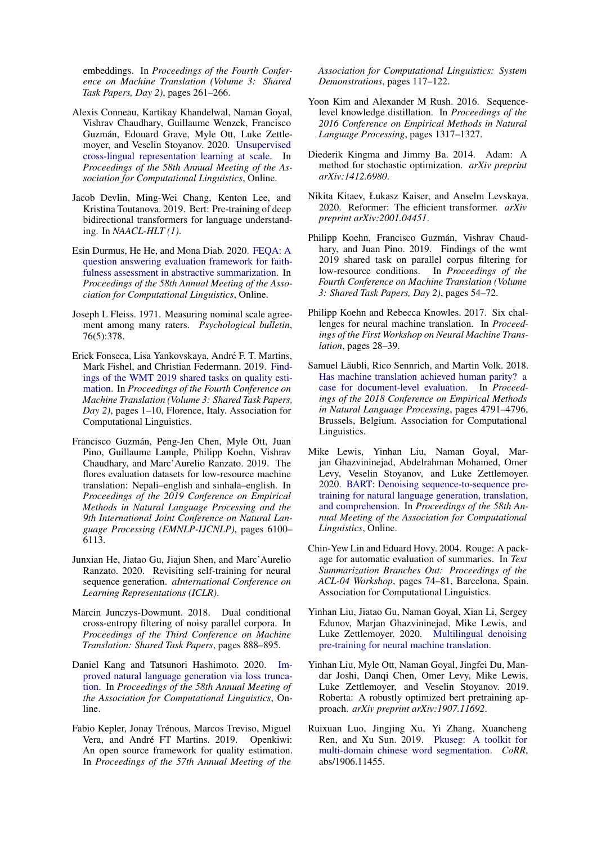embeddings. In *Proceedings of the Fourth Conference on Machine Translation (Volume 3: Shared Task Papers, Day 2)*, pages 261–266.

- <span id="page-9-5"></span>Alexis Conneau, Kartikay Khandelwal, Naman Goyal, Vishrav Chaudhary, Guillaume Wenzek, Francisco Guzman, Edouard Grave, Myle Ott, Luke Zettle- ´ moyer, and Veselin Stoyanov. 2020. [Unsupervised](https://www.aclweb.org/anthology/2020.acl-main.747) [cross-lingual representation learning at scale.](https://www.aclweb.org/anthology/2020.acl-main.747) In *Proceedings of the 58th Annual Meeting of the Association for Computational Linguistics*, Online.
- <span id="page-9-10"></span>Jacob Devlin, Ming-Wei Chang, Kenton Lee, and Kristina Toutanova. 2019. Bert: Pre-training of deep bidirectional transformers for language understanding. In *NAACL-HLT (1)*.
- <span id="page-9-2"></span>Esin Durmus, He He, and Mona Diab. 2020. [FEQA: A](https://www.aclweb.org/anthology/2020.acl-main.454) [question answering evaluation framework for faith](https://www.aclweb.org/anthology/2020.acl-main.454)[fulness assessment in abstractive summarization.](https://www.aclweb.org/anthology/2020.acl-main.454) In *Proceedings of the 58th Annual Meeting of the Association for Computational Linguistics*, Online.
- <span id="page-9-7"></span>Joseph L Fleiss. 1971. Measuring nominal scale agreement among many raters. *Psychological bulletin*, 76(5):378.
- <span id="page-9-3"></span>Erick Fonseca, Lisa Yankovskaya, Andre F. T. Martins, ´ Mark Fishel, and Christian Federmann. 2019. [Find](https://doi.org/10.18653/v1/W19-5401)[ings of the WMT 2019 shared tasks on quality esti](https://doi.org/10.18653/v1/W19-5401)[mation.](https://doi.org/10.18653/v1/W19-5401) In *Proceedings of the Fourth Conference on Machine Translation (Volume 3: Shared Task Papers, Day 2)*, pages 1–10, Florence, Italy. Association for Computational Linguistics.
- <span id="page-9-18"></span>Francisco Guzman, Peng-Jen Chen, Myle Ott, Juan ´ Pino, Guillaume Lample, Philipp Koehn, Vishrav Chaudhary, and Marc'Aurelio Ranzato. 2019. The flores evaluation datasets for low-resource machine translation: Nepali–english and sinhala–english. In *Proceedings of the 2019 Conference on Empirical Methods in Natural Language Processing and the 9th International Joint Conference on Natural Language Processing (EMNLP-IJCNLP)*, pages 6100– 6113.
- <span id="page-9-15"></span>Junxian He, Jiatao Gu, Jiajun Shen, and Marc'Aurelio Ranzato. 2020. Revisiting self-training for neural sequence generation. *aInternational Conference on Learning Representations (ICLR)*.
- <span id="page-9-16"></span>Marcin Junczys-Dowmunt. 2018. Dual conditional cross-entropy filtering of noisy parallel corpora. In *Proceedings of the Third Conference on Machine Translation: Shared Task Papers*, pages 888–895.
- <span id="page-9-17"></span>Daniel Kang and Tatsunori Hashimoto. 2020. [Im](https://www.aclweb.org/anthology/2020.acl-main.66)[proved natural language generation via loss trunca](https://www.aclweb.org/anthology/2020.acl-main.66)[tion.](https://www.aclweb.org/anthology/2020.acl-main.66) In *Proceedings of the 58th Annual Meeting of the Association for Computational Linguistics*, Online.
- <span id="page-9-14"></span>Fabio Kepler, Jonay Trénous, Marcos Treviso, Miguel Vera, and André FT Martins. 2019. Openkiwi: An open source framework for quality estimation. In *Proceedings of the 57th Annual Meeting of the*

*Association for Computational Linguistics: System Demonstrations*, pages 117–122.

- <span id="page-9-9"></span>Yoon Kim and Alexander M Rush. 2016. Sequencelevel knowledge distillation. In *Proceedings of the 2016 Conference on Empirical Methods in Natural Language Processing*, pages 1317–1327.
- <span id="page-9-20"></span>Diederik Kingma and Jimmy Ba. 2014. Adam: A method for stochastic optimization. *arXiv preprint arXiv:1412.6980*.
- <span id="page-9-13"></span>Nikita Kitaev, Łukasz Kaiser, and Anselm Levskaya. 2020. Reformer: The efficient transformer. *arXiv preprint arXiv:2001.04451*.
- <span id="page-9-6"></span>Philipp Koehn, Francisco Guzmán, Vishrav Chaudhary, and Juan Pino. 2019. Findings of the wmt 2019 shared task on parallel corpus filtering for low-resource conditions. In *Proceedings of the Fourth Conference on Machine Translation (Volume 3: Shared Task Papers, Day 2)*, pages 54–72.
- <span id="page-9-11"></span>Philipp Koehn and Rebecca Knowles. 2017. Six challenges for neural machine translation. In *Proceedings of the First Workshop on Neural Machine Translation*, pages 28–39.
- <span id="page-9-0"></span>Samuel Läubli, Rico Sennrich, and Martin Volk. 2018. [Has machine translation achieved human parity? a](https://doi.org/10.18653/v1/D18-1512) [case for document-level evaluation.](https://doi.org/10.18653/v1/D18-1512) In *Proceedings of the 2018 Conference on Empirical Methods in Natural Language Processing*, pages 4791–4796, Brussels, Belgium. Association for Computational Linguistics.
- <span id="page-9-8"></span>Mike Lewis, Yinhan Liu, Naman Goyal, Marjan Ghazvininejad, Abdelrahman Mohamed, Omer Levy, Veselin Stoyanov, and Luke Zettlemoyer. 2020. [BART: Denoising sequence-to-sequence pre](https://www.aclweb.org/anthology/2020.acl-main.703)[training for natural language generation, translation,](https://www.aclweb.org/anthology/2020.acl-main.703) [and comprehension.](https://www.aclweb.org/anthology/2020.acl-main.703) In *Proceedings of the 58th Annual Meeting of the Association for Computational Linguistics*, Online.
- <span id="page-9-1"></span>Chin-Yew Lin and Eduard Hovy. 2004. Rouge: A package for automatic evaluation of summaries. In *Text Summarization Branches Out: Proceedings of the ACL-04 Workshop*, pages 74–81, Barcelona, Spain. Association for Computational Linguistics.
- <span id="page-9-12"></span>Yinhan Liu, Jiatao Gu, Naman Goyal, Xian Li, Sergey Edunov, Marjan Ghazvininejad, Mike Lewis, and Luke Zettlemoyer. 2020. [Multilingual denoising](http://arxiv.org/abs/2001.08210) [pre-training for neural machine translation.](http://arxiv.org/abs/2001.08210)
- <span id="page-9-4"></span>Yinhan Liu, Myle Ott, Naman Goyal, Jingfei Du, Mandar Joshi, Danqi Chen, Omer Levy, Mike Lewis, Luke Zettlemoyer, and Veselin Stoyanov. 2019. Roberta: A robustly optimized bert pretraining approach. *arXiv preprint arXiv:1907.11692*.
- <span id="page-9-19"></span>Ruixuan Luo, Jingjing Xu, Yi Zhang, Xuancheng Ren, and Xu Sun. 2019. [Pkuseg: A toolkit for](https://arxiv.org/abs/1906.11455) [multi-domain chinese word segmentation.](https://arxiv.org/abs/1906.11455) *CoRR*, abs/1906.11455.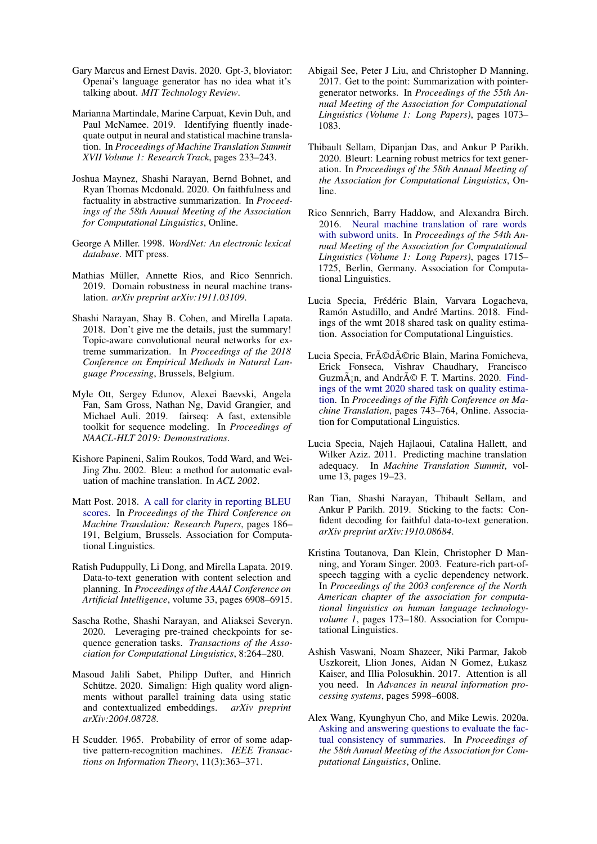- <span id="page-10-3"></span>Gary Marcus and Ernest Davis. 2020. Gpt-3, bloviator: Openai's language generator has no idea what it's talking about. *MIT Technology Review*.
- <span id="page-10-5"></span>Marianna Martindale, Marine Carpuat, Kevin Duh, and Paul McNamee. 2019. Identifying fluently inadequate output in neural and statistical machine translation. In *Proceedings of Machine Translation Summit XVII Volume 1: Research Track*, pages 233–243.
- <span id="page-10-4"></span>Joshua Maynez, Shashi Narayan, Bernd Bohnet, and Ryan Thomas Mcdonald. 2020. On faithfulness and factuality in abstractive summarization. In *Proceedings of the 58th Annual Meeting of the Association for Computational Linguistics*, Online.
- <span id="page-10-19"></span>George A Miller. 1998. *WordNet: An electronic lexical database*. MIT press.
- <span id="page-10-16"></span>Mathias Müller, Annette Rios, and Rico Sennrich. 2019. Domain robustness in neural machine translation. *arXiv preprint arXiv:1911.03109*.
- <span id="page-10-15"></span>Shashi Narayan, Shay B. Cohen, and Mirella Lapata. 2018. Don't give me the details, just the summary! Topic-aware convolutional neural networks for extreme summarization. In *Proceedings of the 2018 Conference on Empirical Methods in Natural Language Processing*, Brussels, Belgium.
- <span id="page-10-17"></span>Myle Ott, Sergey Edunov, Alexei Baevski, Angela Fan, Sam Gross, Nathan Ng, David Grangier, and Michael Auli. 2019. fairseq: A fast, extensible toolkit for sequence modeling. In *Proceedings of NAACL-HLT 2019: Demonstrations*.
- <span id="page-10-6"></span>Kishore Papineni, Salim Roukos, Todd Ward, and Wei-Jing Zhu. 2002. Bleu: a method for automatic evaluation of machine translation. In *ACL 2002*.
- <span id="page-10-7"></span>Matt Post. 2018. [A call for clarity in reporting BLEU](https://www.aclweb.org/anthology/W18-6319) [scores.](https://www.aclweb.org/anthology/W18-6319) In *Proceedings of the Third Conference on Machine Translation: Research Papers*, pages 186– 191, Belgium, Brussels. Association for Computational Linguistics.
- <span id="page-10-0"></span>Ratish Puduppully, Li Dong, and Mirella Lapata. 2019. Data-to-text generation with content selection and planning. In *Proceedings of the AAAI Conference on Artificial Intelligence*, volume 33, pages 6908–6915.
- <span id="page-10-2"></span>Sascha Rothe, Shashi Narayan, and Aliaksei Severyn. 2020. Leveraging pre-trained checkpoints for sequence generation tasks. *Transactions of the Association for Computational Linguistics*, 8:264–280.
- <span id="page-10-18"></span>Masoud Jalili Sabet, Philipp Dufter, and Hinrich Schütze. 2020. Simalign: High quality word alignments without parallel training data using static and contextualized embeddings. *arXiv preprint arXiv:2004.08728*.
- <span id="page-10-13"></span>H Scudder. 1965. Probability of error of some adaptive pattern-recognition machines. *IEEE Transactions on Information Theory*, 11(3):363–371.
- <span id="page-10-14"></span>Abigail See, Peter J Liu, and Christopher D Manning. 2017. Get to the point: Summarization with pointergenerator networks. In *Proceedings of the 55th Annual Meeting of the Association for Computational Linguistics (Volume 1: Long Papers)*, pages 1073– 1083.
- <span id="page-10-21"></span>Thibault Sellam, Dipanjan Das, and Ankur P Parikh. 2020. Bleurt: Learning robust metrics for text generation. In *Proceedings of the 58th Annual Meeting of the Association for Computational Linguistics*, Online.
- <span id="page-10-22"></span>Rico Sennrich, Barry Haddow, and Alexandra Birch. 2016. [Neural machine translation of rare words](https://doi.org/10.18653/v1/P16-1162) [with subword units.](https://doi.org/10.18653/v1/P16-1162) In *Proceedings of the 54th Annual Meeting of the Association for Computational Linguistics (Volume 1: Long Papers)*, pages 1715– 1725, Berlin, Germany. Association for Computational Linguistics.
- <span id="page-10-10"></span>Lucia Specia, Frédéric Blain, Varvara Logacheva, Ramón Astudillo, and André Martins. 2018. Findings of the wmt 2018 shared task on quality estimation. Association for Computational Linguistics.
- <span id="page-10-12"></span>Lucia Specia, Frédéric Blain, Marina Fomicheva, Erick Fonseca, Vishrav Chaudhary, Francisco Guzm $\tilde{A}$ <sub>i</sub>n, and Andr $\tilde{A}$ © F. T. Martins. 2020. [Find](https://www.aclweb.org/anthology/2020.wmt-1.79)[ings of the wmt 2020 shared task on quality estima](https://www.aclweb.org/anthology/2020.wmt-1.79)[tion.](https://www.aclweb.org/anthology/2020.wmt-1.79) In *Proceedings of the Fifth Conference on Machine Translation*, pages 743–764, Online. Association for Computational Linguistics.
- <span id="page-10-11"></span>Lucia Specia, Najeh Hajlaoui, Catalina Hallett, and Wilker Aziz. 2011. Predicting machine translation adequacy. In *Machine Translation Summit*, volume 13, pages 19–23.
- <span id="page-10-8"></span>Ran Tian, Shashi Narayan, Thibault Sellam, and Ankur P Parikh. 2019. Sticking to the facts: Confident decoding for faithful data-to-text generation. *arXiv preprint arXiv:1910.08684*.
- <span id="page-10-20"></span>Kristina Toutanova, Dan Klein, Christopher D Manning, and Yoram Singer. 2003. Feature-rich part-ofspeech tagging with a cyclic dependency network. In *Proceedings of the 2003 conference of the North American chapter of the association for computational linguistics on human language technologyvolume 1*, pages 173–180. Association for Computational Linguistics.
- <span id="page-10-1"></span>Ashish Vaswani, Noam Shazeer, Niki Parmar, Jakob Uszkoreit, Llion Jones, Aidan N Gomez, Łukasz Kaiser, and Illia Polosukhin. 2017. Attention is all you need. In *Advances in neural information processing systems*, pages 5998–6008.
- <span id="page-10-9"></span>Alex Wang, Kyunghyun Cho, and Mike Lewis. 2020a. [Asking and answering questions to evaluate the fac](https://www.aclweb.org/anthology/2020.acl-main.450)[tual consistency of summaries.](https://www.aclweb.org/anthology/2020.acl-main.450) In *Proceedings of the 58th Annual Meeting of the Association for Computational Linguistics*, Online.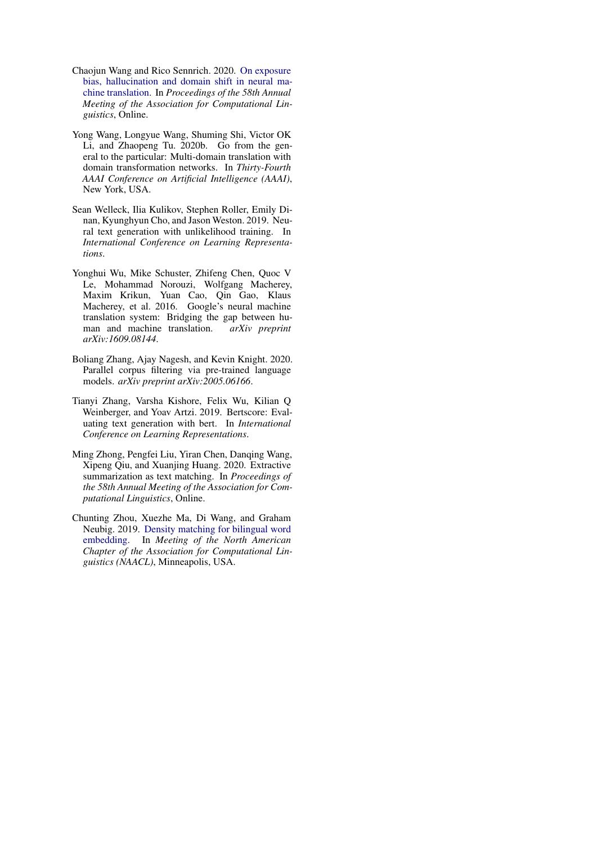- <span id="page-11-3"></span>Chaojun Wang and Rico Sennrich. 2020. [On exposure](https://www.aclweb.org/anthology/2020.acl-main.326) [bias, hallucination and domain shift in neural ma](https://www.aclweb.org/anthology/2020.acl-main.326)[chine translation.](https://www.aclweb.org/anthology/2020.acl-main.326) In *Proceedings of the 58th Annual Meeting of the Association for Computational Linguistics*, Online.
- <span id="page-11-4"></span>Yong Wang, Longyue Wang, Shuming Shi, Victor OK Li, and Zhaopeng Tu. 2020b. Go from the general to the particular: Multi-domain translation with domain transformation networks. In *Thirty-Fourth AAAI Conference on Artificial Intelligence (AAAI)*, New York, USA.
- <span id="page-11-1"></span>Sean Welleck, Ilia Kulikov, Stephen Roller, Emily Dinan, Kyunghyun Cho, and Jason Weston. 2019. Neural text generation with unlikelihood training. In *International Conference on Learning Representations*.
- <span id="page-11-0"></span>Yonghui Wu, Mike Schuster, Zhifeng Chen, Quoc V Le, Mohammad Norouzi, Wolfgang Macherey, Maxim Krikun, Yuan Cao, Qin Gao, Klaus Macherey, et al. 2016. Google's neural machine translation system: Bridging the gap between human and machine translation. *arXiv preprint arXiv:1609.08144*.
- <span id="page-11-6"></span>Boliang Zhang, Ajay Nagesh, and Kevin Knight. 2020. Parallel corpus filtering via pre-trained language models. *arXiv preprint arXiv:2005.06166*.
- <span id="page-11-2"></span>Tianyi Zhang, Varsha Kishore, Felix Wu, Kilian Q Weinberger, and Yoav Artzi. 2019. Bertscore: Evaluating text generation with bert. In *International Conference on Learning Representations*.
- <span id="page-11-7"></span>Ming Zhong, Pengfei Liu, Yiran Chen, Danqing Wang, Xipeng Qiu, and Xuanjing Huang. 2020. Extractive summarization as text matching. In *Proceedings of the 58th Annual Meeting of the Association for Computational Linguistics*, Online.
- <span id="page-11-5"></span>Chunting Zhou, Xuezhe Ma, Di Wang, and Graham Neubig. 2019. [Density matching for bilingual word](https://arxiv.org/abs/1904.02343) [embedding.](https://arxiv.org/abs/1904.02343) In *Meeting of the North American Chapter of the Association for Computational Linguistics (NAACL)*, Minneapolis, USA.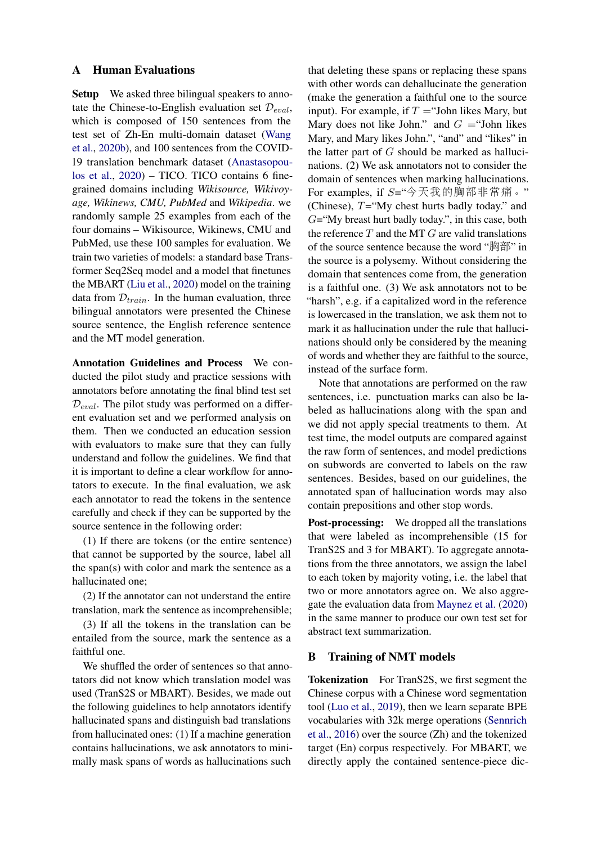### <span id="page-12-0"></span>A Human Evaluations

Setup We asked three bilingual speakers to annotate the Chinese-to-English evaluation set  $\mathcal{D}_{eval}$ , which is composed of 150 sentences from the test set of Zh-En multi-domain dataset [\(Wang](#page-11-4) [et al.,](#page-11-4) [2020b\)](#page-11-4), and 100 sentences from the COVID-19 translation benchmark dataset [\(Anastasopou](#page-8-1)[los et al.,](#page-8-1) [2020\)](#page-8-1) – TICO. TICO contains 6 finegrained domains including *Wikisource, Wikivoyage, Wikinews, CMU, PubMed* and *Wikipedia*. we randomly sample 25 examples from each of the four domains – Wikisource, Wikinews, CMU and PubMed, use these 100 samples for evaluation. We train two varieties of models: a standard base Transformer Seq2Seq model and a model that finetunes the MBART [\(Liu et al.,](#page-9-12) [2020\)](#page-9-12) model on the training data from  $\mathcal{D}_{train}$ . In the human evaluation, three bilingual annotators were presented the Chinese source sentence, the English reference sentence and the MT model generation.

Annotation Guidelines and Process We conducted the pilot study and practice sessions with annotators before annotating the final blind test set  $\mathcal{D}_{eval}$ . The pilot study was performed on a different evaluation set and we performed analysis on them. Then we conducted an education session with evaluators to make sure that they can fully understand and follow the guidelines. We find that it is important to define a clear workflow for annotators to execute. In the final evaluation, we ask each annotator to read the tokens in the sentence carefully and check if they can be supported by the source sentence in the following order:

(1) If there are tokens (or the entire sentence) that cannot be supported by the source, label all the span(s) with color and mark the sentence as a hallucinated one;

(2) If the annotator can not understand the entire translation, mark the sentence as incomprehensible;

(3) If all the tokens in the translation can be entailed from the source, mark the sentence as a faithful one.

We shuffled the order of sentences so that annotators did not know which translation model was used (TranS2S or MBART). Besides, we made out the following guidelines to help annotators identify hallucinated spans and distinguish bad translations from hallucinated ones: (1) If a machine generation contains hallucinations, we ask annotators to minimally mask spans of words as hallucinations such

that deleting these spans or replacing these spans with other words can dehallucinate the generation (make the generation a faithful one to the source input). For example, if  $T =$  "John likes Mary, but Mary does not like John." and  $G =$ "John likes Mary, and Mary likes John.", "and" and "likes" in the latter part of  $G$  should be marked as hallucinations. (2) We ask annotators not to consider the domain of sentences when marking hallucinations. For examples, if S="今天我的胸部非常痛。" (Chinese),  $T = "My chest)$  hurts badly today." and  $G = "My breast hurt badly today."$ , in this case, both the reference  $T$  and the MT  $G$  are valid translations of the source sentence because the word "胸部" in the source is a polysemy. Without considering the domain that sentences come from, the generation is a faithful one. (3) We ask annotators not to be "harsh", e.g. if a capitalized word in the reference is lowercased in the translation, we ask them not to mark it as hallucination under the rule that hallucinations should only be considered by the meaning of words and whether they are faithful to the source, instead of the surface form.

Note that annotations are performed on the raw sentences, i.e. punctuation marks can also be labeled as hallucinations along with the span and we did not apply special treatments to them. At test time, the model outputs are compared against the raw form of sentences, and model predictions on subwords are converted to labels on the raw sentences. Besides, based on our guidelines, the annotated span of hallucination words may also contain prepositions and other stop words.

Post-processing: We dropped all the translations that were labeled as incomprehensible (15 for TranS2S and 3 for MBART). To aggregate annotations from the three annotators, we assign the label to each token by majority voting, i.e. the label that two or more annotators agree on. We also aggregate the evaluation data from [Maynez et al.](#page-10-4) [\(2020\)](#page-10-4) in the same manner to produce our own test set for abstract text summarization.

## <span id="page-12-1"></span>B Training of NMT models

Tokenization For TranS2S, we first segment the Chinese corpus with a Chinese word segmentation tool [\(Luo et al.,](#page-9-19) [2019\)](#page-9-19), then we learn separate BPE vocabularies with 32k merge operations [\(Sennrich](#page-10-22) [et al.,](#page-10-22) [2016\)](#page-10-22) over the source (Zh) and the tokenized target (En) corpus respectively. For MBART, we directly apply the contained sentence-piece dic-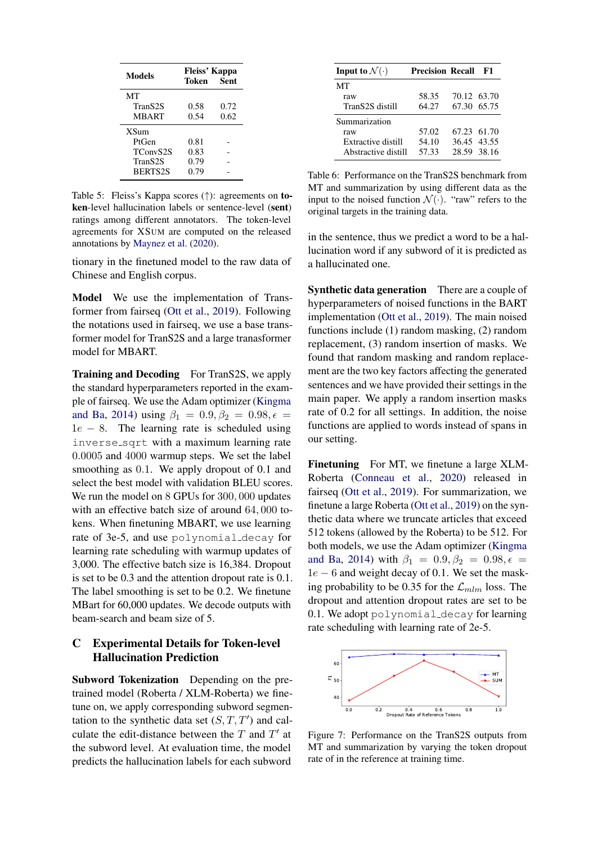<span id="page-13-0"></span>

| <b>Models</b>  | <b>Fleiss' Kappa</b><br><b>Sent</b><br>Token |      |
|----------------|----------------------------------------------|------|
| MТ             |                                              |      |
| TranS2S        | 0.58                                         | 0.72 |
| <b>MBART</b>   | 0.54                                         | 0.62 |
| <b>XSum</b>    |                                              |      |
| PtGen          | 0.81                                         |      |
| TConvS2S       | 0.83                                         |      |
| TranS2S        | 0.79                                         |      |
| <b>BERTS2S</b> | 0.79                                         |      |

Table 5: Fleiss's Kappa scores (↑): agreements on token-level hallucination labels or sentence-level (sent) ratings among different annotators. The token-level agreements for XSUM are computed on the released annotations by [Maynez et al.](#page-10-4) [\(2020\)](#page-10-4).

tionary in the finetuned model to the raw data of Chinese and English corpus.

Model We use the implementation of Transformer from fairseq [\(Ott et al.,](#page-10-17) [2019\)](#page-10-17). Following the notations used in fairseq, we use a base transformer model for TranS2S and a large tranasformer model for MBART.

**Training and Decoding** For TranS2S, we apply the standard hyperparameters reported in the example of fairseq. We use the Adam optimizer [\(Kingma](#page-9-20) [and Ba,](#page-9-20) [2014\)](#page-9-20) using  $\beta_1 = 0.9, \beta_2 = 0.98, \epsilon =$  $1e - 8$ . The learning rate is scheduled using inverse sqrt with a maximum learning rate 0.0005 and 4000 warmup steps. We set the label smoothing as 0.1. We apply dropout of 0.1 and select the best model with validation BLEU scores. We run the model on 8 GPUs for 300, 000 updates with an effective batch size of around 64, 000 tokens. When finetuning MBART, we use learning rate of 3e-5, and use polynomial decay for learning rate scheduling with warmup updates of 3,000. The effective batch size is 16,384. Dropout is set to be 0.3 and the attention dropout rate is 0.1. The label smoothing is set to be 0.2. We finetune MBart for 60,000 updates. We decode outputs with beam-search and beam size of 5.

# <span id="page-13-1"></span>C Experimental Details for Token-level Hallucination Prediction

Subword Tokenization Depending on the pretrained model (Roberta / XLM-Roberta) we finetune on, we apply corresponding subword segmentation to the synthetic data set  $(S, T, T')$  and calculate the edit-distance between the  $T$  and  $T'$  at the subword level. At evaluation time, the model predicts the hallucination labels for each subword

<span id="page-13-3"></span>

| Input to $\mathcal{N}(\cdot)$ | <b>Precision Recall</b> |             | F1 |
|-------------------------------|-------------------------|-------------|----|
| MТ                            |                         |             |    |
| raw                           | 58.35                   | 70.12 63.70 |    |
| TranS2S distill               | 64.27                   | 67.30 65.75 |    |
| Summarization                 |                         |             |    |
| raw                           | 57.02                   | 67.23 61.70 |    |
| Extractive distill            | 54.10                   | 36.45 43.55 |    |
| Abstractive distill           | 57.33                   | 28.59 38.16 |    |

Table 6: Performance on the TranS2S benchmark from MT and summarization by using different data as the input to the noised function  $\mathcal{N}(\cdot)$ . "raw" refers to the original targets in the training data.

in the sentence, thus we predict a word to be a hallucination word if any subword of it is predicted as a hallucinated one.

Synthetic data generation There are a couple of hyperparameters of noised functions in the BART implementation [\(Ott et al.,](#page-10-17) [2019\)](#page-10-17). The main noised functions include (1) random masking, (2) random replacement, (3) random insertion of masks. We found that random masking and random replacement are the two key factors affecting the generated sentences and we have provided their settings in the main paper. We apply a random insertion masks rate of 0.2 for all settings. In addition, the noise functions are applied to words instead of spans in our setting.

Finetuning For MT, we finetune a large XLM-Roberta [\(Conneau et al.,](#page-9-5) [2020\)](#page-9-5) released in fairseq [\(Ott et al.,](#page-10-17) [2019\)](#page-10-17). For summarization, we finetune a large Roberta [\(Ott et al.,](#page-10-17) [2019\)](#page-10-17) on the synthetic data where we truncate articles that exceed 512 tokens (allowed by the Roberta) to be 512. For both models, we use the Adam optimizer [\(Kingma](#page-9-20) [and Ba,](#page-9-20) [2014\)](#page-9-20) with  $\beta_1 = 0.9, \beta_2 = 0.98, \epsilon =$  $1e - 6$  and weight decay of 0.1. We set the masking probability to be 0.35 for the  $\mathcal{L}_{mlm}$  loss. The dropout and attention dropout rates are set to be 0.1. We adopt polynomial decay for learning rate scheduling with learning rate of 2e-5.

<span id="page-13-2"></span>

Figure 7: Performance on the TranS2S outputs from MT and summarization by varying the token dropout rate of in the reference at training time.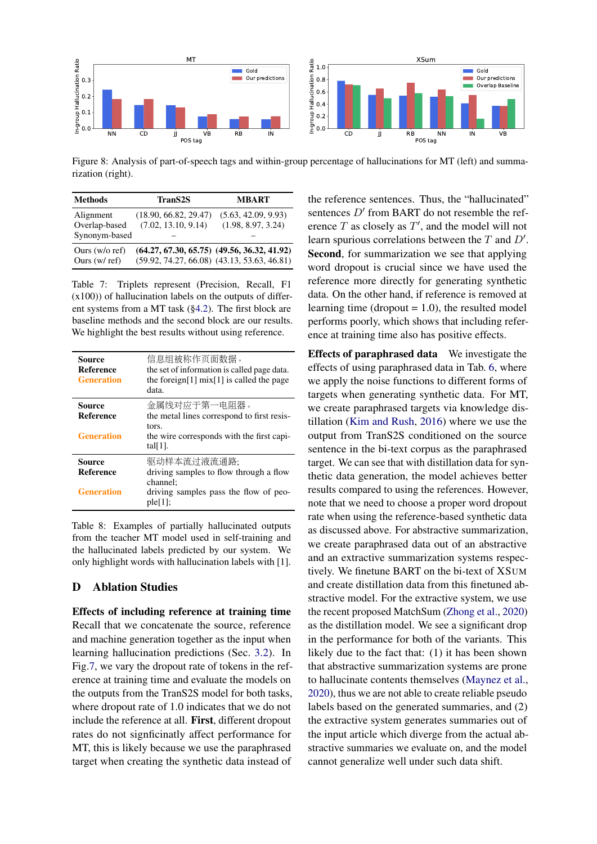<span id="page-14-2"></span>

Figure 8: Analysis of part-of-speech tags and within-group percentage of hallucinations for MT (left) and summarization (right).

<span id="page-14-1"></span>

| <b>Methods</b>                              | TranS <sub>2S</sub>                                                                                | <b>MBART</b>                              |
|---------------------------------------------|----------------------------------------------------------------------------------------------------|-------------------------------------------|
| Alignment<br>Overlap-based<br>Synonym-based | (18.90, 66.82, 29.47)<br>(7.02, 13.10, 9.14)                                                       | (5.63, 42.09, 9.93)<br>(1.98, 8.97, 3.24) |
| Ours $(w/o \nref)$<br>Ours $(w/\text{ref})$ | $(64.27, 67.30, 65.75)$ $(49.56, 36.32, 41.92)$<br>$(59.92, 74.27, 66.08)$ $(43.13, 53.63, 46.81)$ |                                           |

Table 7: Triplets represent (Precision, Recall, F1 (x100)) of hallucination labels on the outputs of different systems from a MT task ([§4.2\)](#page-3-0). The first block are baseline methods and the second block are our results. We highlight the best results without using reference.

<span id="page-14-3"></span>

| <b>Source</b><br>Reference<br><b>Generation</b>        | 信息组被称作页面数据。<br>the set of information is called page data.<br>the foreign[1] $mix[1]$ is called the page<br>data.               |
|--------------------------------------------------------|---------------------------------------------------------------------------------------------------------------------------------|
| Source<br>Reference<br><b>Generation</b>               | 金属线对应于第一电阻器。<br>the metal lines correspond to first resis-<br>tors.<br>the wire corresponds with the first capi-<br>tal $[1]$ . |
| <b>Source</b><br><b>Reference</b><br><b>Generation</b> | 驱动样本流过液流通路;<br>driving samples to flow through a flow<br>channel:<br>driving samples pass the flow of peo-<br>$ple[1]$ ;        |

Table 8: Examples of partially hallucinated outputs from the teacher MT model used in self-training and the hallucinated labels predicted by our system. We only highlight words with hallucination labels with [1].

## <span id="page-14-0"></span>D Ablation Studies

Effects of including reference at training time Recall that we concatenate the source, reference and machine generation together as the input when learning hallucination predictions (Sec. [3.2\)](#page-3-1). In Fig[.7,](#page-13-2) we vary the dropout rate of tokens in the reference at training time and evaluate the models on the outputs from the TranS2S model for both tasks, where dropout rate of 1.0 indicates that we do not include the reference at all. First, different dropout rates do not signficinatly affect performance for MT, this is likely because we use the paraphrased target when creating the synthetic data instead of

the reference sentences. Thus, the "hallucinated" sentences  $D'$  from BART do not resemble the reference  $T$  as closely as  $T'$ , and the model will not learn spurious correlations between the  $T$  and  $D'$ . Second, for summarization we see that applying word dropout is crucial since we have used the reference more directly for generating synthetic data. On the other hand, if reference is removed at learning time (dropout  $= 1.0$ ), the resulted model performs poorly, which shows that including reference at training time also has positive effects.

Effects of paraphrased data We investigate the effects of using paraphrased data in Tab. [6,](#page-13-3) where we apply the noise functions to different forms of targets when generating synthetic data. For MT, we create paraphrased targets via knowledge distillation [\(Kim and Rush,](#page-9-9) [2016\)](#page-9-9) where we use the output from TranS2S conditioned on the source sentence in the bi-text corpus as the paraphrased target. We can see that with distillation data for synthetic data generation, the model achieves better results compared to using the references. However, note that we need to choose a proper word dropout rate when using the reference-based synthetic data as discussed above. For abstractive summarization, we create paraphrased data out of an abstractive and an extractive summarization systems respectively. We finetune BART on the bi-text of XSUM and create distillation data from this finetuned abstractive model. For the extractive system, we use the recent proposed MatchSum [\(Zhong et al.,](#page-11-7) [2020\)](#page-11-7) as the distillation model. We see a significant drop in the performance for both of the variants. This likely due to the fact that: (1) it has been shown that abstractive summarization systems are prone to hallucinate contents themselves [\(Maynez et al.,](#page-10-4) [2020\)](#page-10-4), thus we are not able to create reliable pseudo labels based on the generated summaries, and (2) the extractive system generates summaries out of the input article which diverge from the actual abstractive summaries we evaluate on, and the model cannot generalize well under such data shift.